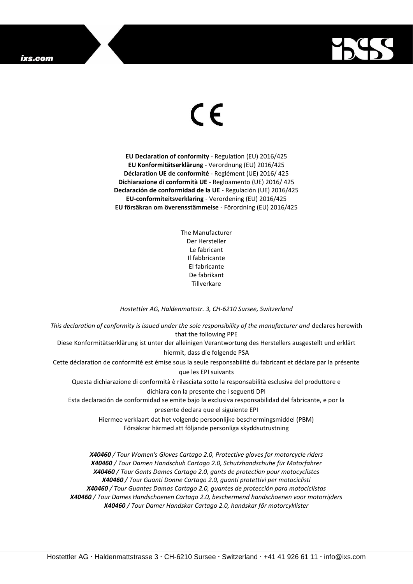### ixs.com



# $\epsilon$

**EU Declaration of conformity** - Regulation (EU) 2016/425 **EU Konformitätserklärung** - Verordnung (EU) 2016/425 **Déclaration UE de conformité** - Reglément (UE) 2016/ 425 **Dichiarazione di conformità UE** - Regloamento (UE) 2016/ 425 **Declaración de conformidad de la UE** - Regulación (UE) 2016/425 **EU-conformiteitsverklaring** - Verordening (EU) 2016/425 **EU försäkran om överensstämmelse** - Förordning (EU) 2016/425

> The Manufacturer Der Hersteller Le fabricant Il fabbricante El fabricante De fabrikant Tillverkare

## *Hostettler AG, Haldenmattstr. 3, CH-6210 Sursee, Switzerland*

*This declaration of conformity is issued under the sole responsibility of the manufacturer and* declares herewith that the following PPE Diese Konformitätserklärung ist unter der alleinigen Verantwortung des Herstellers ausgestellt und erklärt hiermit, dass die folgende PSA Cette déclaration de conformité est émise sous la seule responsabilité du fabricant et déclare par la présente que les EPI suivants Questa dichiarazione di conformità è rilasciata sotto la responsabilità esclusiva del produttore e dichiara con la presente che i seguenti DPI Esta declaración de conformidad se emite bajo la exclusiva responsabilidad del fabricante, e por la presente declara que el siguiente EPI Hiermee verklaart dat het volgende persoonlijke beschermingsmiddel (PBM) Försäkrar härmed att följande personliga skyddsutrustning *X40460 / Tour Women's Gloves Cartago 2.0, Protective gloves for motorcycle riders X40460 / Tour Damen Handschuh Cartago 2.0, Schutzhandschuhe für Motorfahrer*

*X40460 / Tour Gants Dames Cartago 2.0, gants de protection pour motocyclistes X40460 / Tour Guanti Donne Cartago 2.0, guanti protettivi per motociclisti X40460 / Tour Guantes Damas Cartago 2.0, guantes de protección para motociclistas X40460 / Tour Dames Handschoenen Cartago 2.0, beschermend handschoenen voor motorrijders X40460 / Tour Damer Handskar Cartago 2.0, handskar för motorcyklister*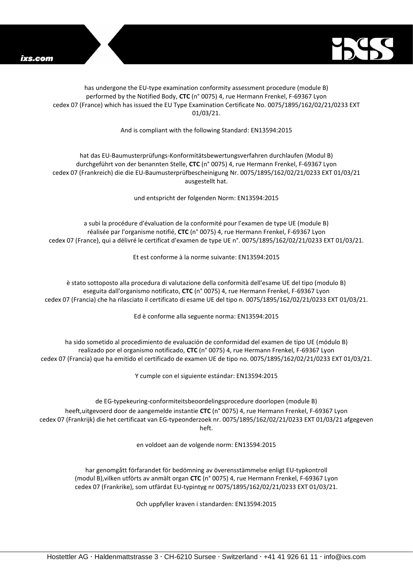

# has undergone the EU-type examination conformity assessment procedure (module B) performed by the Notified Body, **CTC** (n° 0075) 4, rue Hermann Frenkel, F-69367 Lyon cedex 07 (France) which has issued the EU Type Examination Certificate No. 0075/1895/162/02/21/0233 EXT 01/03/21.

And is compliant with the following Standard: EN13594:2015

# hat das EU-Baumusterprüfungs-Konformitätsbewertungsverfahren durchlaufen (Modul B) durchgeführt von der benannten Stelle, **CTC** (n° 0075) 4, rue Hermann Frenkel, F-69367 Lyon cedex 07 (Frankreich) die die EU-Baumusterprüfbescheinigung Nr. 0075/1895/162/02/21/0233 EXT 01/03/21 ausgestellt hat.

und entspricht der folgenden Norm: EN13594:2015

a subi la procédure d'évaluation de la conformité pour l'examen de type UE (module B) réalisée par l'organisme notifié, **CTC** (n° 0075) 4, rue Hermann Frenkel, F-69367 Lyon cedex 07 (France), qui a délivré le certificat d'examen de type UE n°. 0075/1895/162/02/21/0233 EXT 01/03/21.

Et est conforme à la norme suivante: EN13594:2015

è stato sottoposto alla procedura di valutazione della conformità dell'esame UE del tipo (modulo B) eseguita dall'organismo notificato, **CTC** (n° 0075) 4, rue Hermann Frenkel, F-69367 Lyon cedex 07 (Francia) che ha rilasciato il certificato di esame UE del tipo n. 0075/1895/162/02/21/0233 EXT 01/03/21.

Ed è conforme alla seguente norma: EN13594:2015

ha sido sometido al procedimiento de evaluación de conformidad del examen de tipo UE (módulo B) realizado por el organismo notificado, **CTC** (n° 0075) 4, rue Hermann Frenkel, F-69367 Lyon cedex 07 (Francia) que ha emitido el certificado de examen UE de tipo no. 0075/1895/162/02/21/0233 EXT 01/03/21.

Y cumple con el siguiente estándar: EN13594:2015

de EG-typekeuring-conformiteitsbeoordelingsprocedure doorlopen (module B) heeft,uitgevoerd door de aangemelde instantie **CTC** (n° 0075) 4, rue Hermann Frenkel, F-69367 Lyon cedex 07 (Frankrijk) die het certificaat van EG-typeonderzoek nr. 0075/1895/162/02/21/0233 EXT 01/03/21 afgegeven heft.

en voldoet aan de volgende norm: EN13594:2015

har genomgått förfarandet för bedömning av överensstämmelse enligt EU-typkontroll (modul B),vilken utförts av anmält organ **CTC** (n° 0075) 4, rue Hermann Frenkel, F-69367 Lyon cedex 07 (Frankrike), som utfärdat EU-typintyg nr 0075/1895/162/02/21/0233 EXT 01/03/21.

Och uppfyller kraven i standarden: EN13594:2015